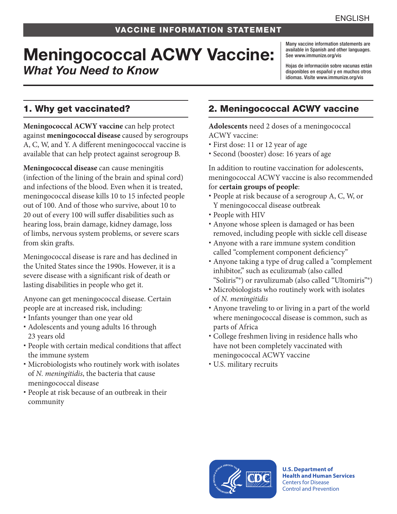# Meningococcal ACWY Vaccine: *What You Need to Know*

Many vaccine information statements are available in Spanish and other languages. See [www.immunize.org/vis](http://www.immunize.org/vis)

Hojas de información sobre vacunas están disponibles en español y en muchos otros idiomas. Visite [www.immunize.org/vis](http://www.immunize.org/vis)

## 1. Why get vaccinated?

**Meningococcal ACWY vaccine** can help protect against **meningococcal disease** caused by serogroups A, C, W, and Y. A different meningococcal vaccine is available that can help protect against serogroup B.

**Meningococcal disease** can cause meningitis (infection of the lining of the brain and spinal cord) and infections of the blood. Even when it is treated, meningococcal disease kills 10 to 15 infected people out of 100. And of those who survive, about 10 to 20 out of every 100 will suffer disabilities such as hearing loss, brain damage, kidney damage, loss of limbs, nervous system problems, or severe scars from skin grafts.

Meningococcal disease is rare and has declined in the United States since the 1990s. However, it is a severe disease with a significant risk of death or lasting disabilities in people who get it.

Anyone can get meningococcal disease. Certain people are at increased risk, including:

- Infants younger than one year old
- Adolescents and young adults 16 through 23 years old
- People with certain medical conditions that affect the immune system
- Microbiologists who routinely work with isolates of *N. meningitidis*, the bacteria that cause meningococcal disease
- People at risk because of an outbreak in their community

# 2. Meningococcal ACWY vaccine

**Adolescents** need 2 doses of a meningococcal ACWY vaccine:

- First dose: 11 or 12 year of age
- Second (booster) dose: 16 years of age

In addition to routine vaccination for adolescents, meningococcal ACWY vaccine is also recommended for **certain groups of people**:

- People at risk because of a serogroup A, C, W, or Y meningococcal disease outbreak
- People with HIV
- Anyone whose spleen is damaged or has been removed, including people with sickle cell disease
- Anyone with a rare immune system condition called "complement component deficiency"
- Anyone taking a type of drug called a "complement inhibitor," such as eculizumab (also called "Soliris"®) or ravulizumab (also called "Ultomiris"®)
- Microbiologists who routinely work with isolates of *N. meningitidis*
- Anyone traveling to or living in a part of the world where meningococcal disease is common, such as parts of Africa
- College freshmen living in residence halls who have not been completely vaccinated with meningococcal ACWY vaccine
- U.S. military recruits



**U.S. Department of Health and Human Services**  Centers for Disease Control and Prevention